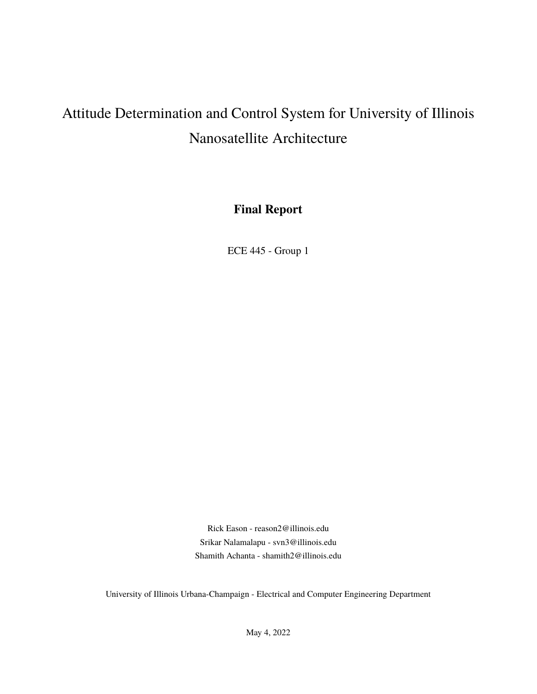# Attitude Determination and Control System for University of Illinois Nanosatellite Architecture

**Final Report**

ECE 445 - Group 1

Rick Eason - [reason2@illinois.edu](mailto:reason2@illinois.edu) Srikar Nalamalapu - [svn3@illinois.edu](mailto:svn3@illinois.edu) Shamith Achanta - [shamith2@illinois.edu](mailto:shamith2@illinois.edu)

University of Illinois Urbana-Champaign - Electrical and Computer Engineering Department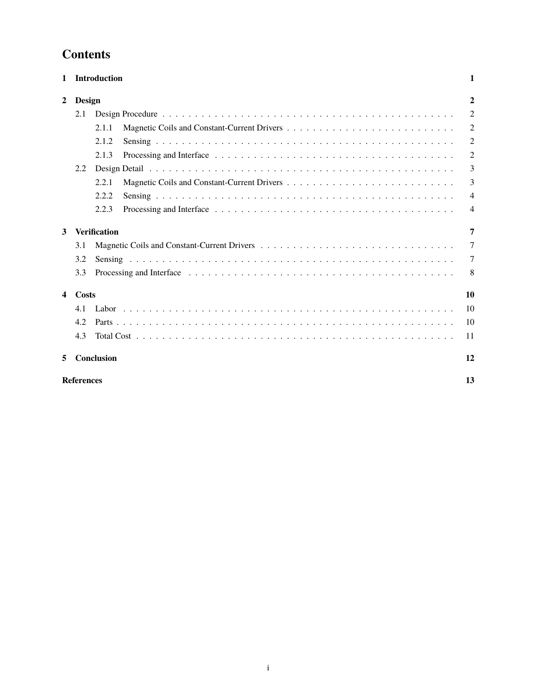## **Contents**

| $\mathbf{1}$            |                   | <b>Introduction</b> | 1                |
|-------------------------|-------------------|---------------------|------------------|
| $\overline{2}$          | <b>Design</b>     |                     | $\boldsymbol{2}$ |
|                         | 2.1               |                     | $\overline{2}$   |
|                         |                   | 2.1.1               | 2                |
|                         |                   | 2.1.2               | $\overline{2}$   |
|                         |                   | 2.1.3               | $\overline{2}$   |
|                         | 2.2               |                     | 3                |
|                         |                   | 2.2.1               | 3                |
|                         |                   | 2.2.2               | $\overline{4}$   |
|                         |                   | 2.2.3               | 4                |
| 3                       |                   | <b>Verification</b> | 7                |
|                         | 3.1               |                     | 7                |
|                         | 3.2               |                     | 7                |
|                         | 3.3               |                     | 8                |
| $\overline{\mathbf{4}}$ | Costs             |                     | 10               |
|                         | 4.1               |                     | 10               |
|                         | 4.2               |                     | 10               |
|                         | 4.3               |                     | 11               |
| 5                       |                   | <b>Conclusion</b>   | 12               |
|                         | <b>References</b> |                     | 13               |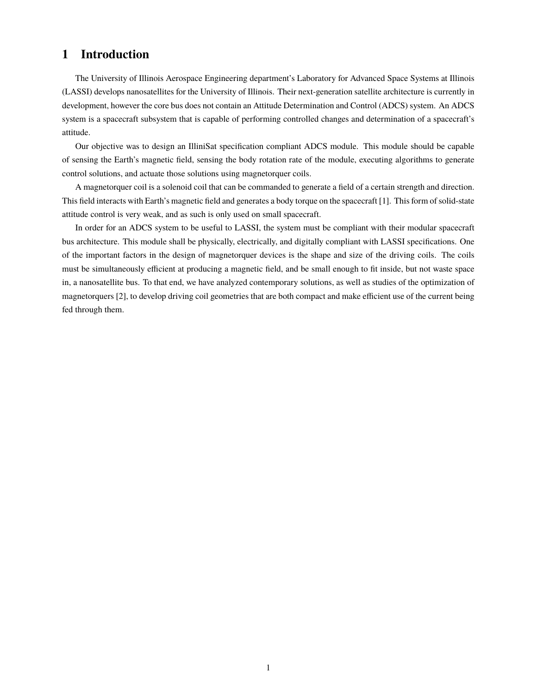### <span id="page-2-0"></span>**1 Introduction**

The University of Illinois Aerospace Engineering department's Laboratory for Advanced Space Systems at Illinois (LASSI) develops nanosatellites for the University of Illinois. Their next-generation satellite architecture is currently in development, however the core bus does not contain an Attitude Determination and Control (ADCS) system. An ADCS system is a spacecraft subsystem that is capable of performing controlled changes and determination of a spacecraft's attitude.

Our objective was to design an IlliniSat specification compliant ADCS module. This module should be capable of sensing the Earth's magnetic field, sensing the body rotation rate of the module, executing algorithms to generate control solutions, and actuate those solutions using magnetorquer coils.

A magnetorquer coil is a solenoid coil that can be commanded to generate a field of a certain strength and direction. This field interacts with Earth's magnetic field and generates a body torque on the spacecraft [\[1\]](#page-14-0). This form of solid-state attitude control is very weak, and as such is only used on small spacecraft.

In order for an ADCS system to be useful to LASSI, the system must be compliant with their modular spacecraft bus architecture. This module shall be physically, electrically, and digitally compliant with LASSI specifications. One of the important factors in the design of magnetorquer devices is the shape and size of the driving coils. The coils must be simultaneously efficient at producing a magnetic field, and be small enough to fit inside, but not waste space in, a nanosatellite bus. To that end, we have analyzed contemporary solutions, as well as studies of the optimization of magnetorquers [\[2\]](#page-14-1), to develop driving coil geometries that are both compact and make efficient use of the current being fed through them.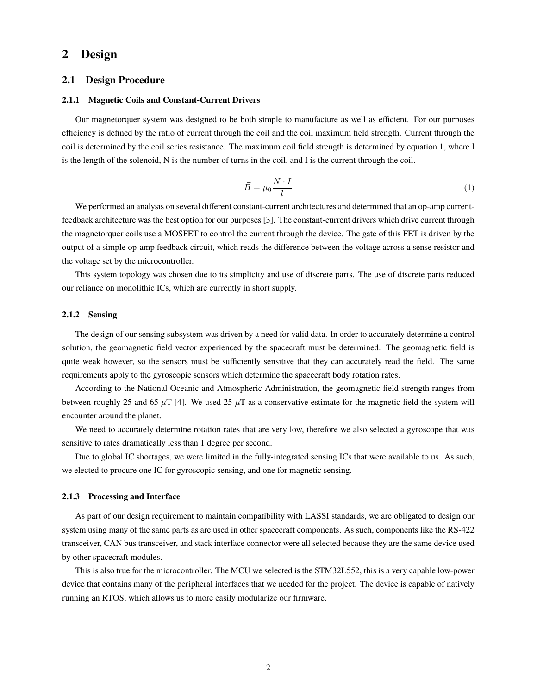### <span id="page-3-0"></span>**2 Design**

### <span id="page-3-1"></span>**2.1 Design Procedure**

#### <span id="page-3-2"></span>**2.1.1 Magnetic Coils and Constant-Current Drivers**

Our magnetorquer system was designed to be both simple to manufacture as well as efficient. For our purposes efficiency is defined by the ratio of current through the coil and the coil maximum field strength. Current through the coil is determined by the coil series resistance. The maximum coil field strength is determined by equation [1,](#page-3-5) where l is the length of the solenoid, N is the number of turns in the coil, and I is the current through the coil.

$$
\vec{B} = \mu_0 \frac{N \cdot I}{l} \tag{1}
$$

<span id="page-3-5"></span>We performed an analysis on several different constant-current architectures and determined that an op-amp currentfeedback architecture was the best option for our purposes [\[3\]](#page-14-2). The constant-current drivers which drive current through the magnetorquer coils use a MOSFET to control the current through the device. The gate of this FET is driven by the output of a simple op-amp feedback circuit, which reads the difference between the voltage across a sense resistor and the voltage set by the microcontroller.

This system topology was chosen due to its simplicity and use of discrete parts. The use of discrete parts reduced our reliance on monolithic ICs, which are currently in short supply.

#### <span id="page-3-3"></span>**2.1.2 Sensing**

The design of our sensing subsystem was driven by a need for valid data. In order to accurately determine a control solution, the geomagnetic field vector experienced by the spacecraft must be determined. The geomagnetic field is quite weak however, so the sensors must be sufficiently sensitive that they can accurately read the field. The same requirements apply to the gyroscopic sensors which determine the spacecraft body rotation rates.

According to the National Oceanic and Atmospheric Administration, the geomagnetic field strength ranges from between roughly 25 and 65  $\mu$ T [\[4\]](#page-14-3). We used 25  $\mu$ T as a conservative estimate for the magnetic field the system will encounter around the planet.

We need to accurately determine rotation rates that are very low, therefore we also selected a gyroscope that was sensitive to rates dramatically less than 1 degree per second.

Due to global IC shortages, we were limited in the fully-integrated sensing ICs that were available to us. As such, we elected to procure one IC for gyroscopic sensing, and one for magnetic sensing.

#### <span id="page-3-4"></span>**2.1.3 Processing and Interface**

As part of our design requirement to maintain compatibility with LASSI standards, we are obligated to design our system using many of the same parts as are used in other spacecraft components. As such, components like the RS-422 transceiver, CAN bus transceiver, and stack interface connector were all selected because they are the same device used by other spacecraft modules.

This is also true for the microcontroller. The MCU we selected is the STM32L552, this is a very capable low-power device that contains many of the peripheral interfaces that we needed for the project. The device is capable of natively running an RTOS, which allows us to more easily modularize our firmware.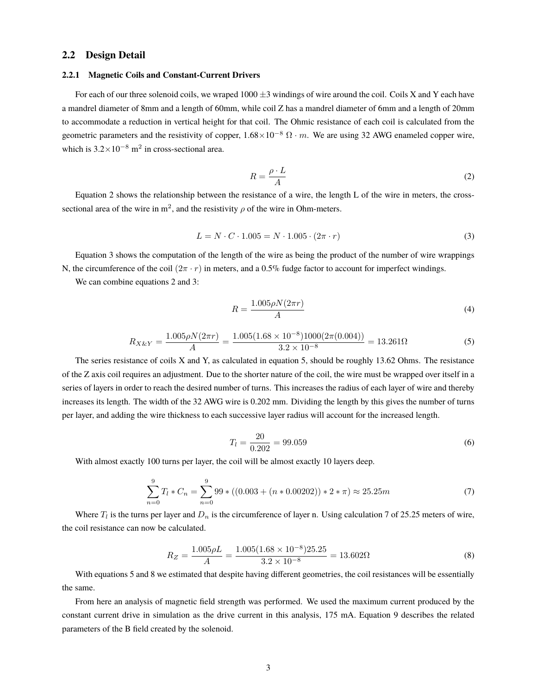### <span id="page-4-0"></span>**2.2 Design Detail**

#### <span id="page-4-1"></span>**2.2.1 Magnetic Coils and Constant-Current Drivers**

For each of our three solenoid coils, we wraped  $1000 \pm 3$  windings of wire around the coil. Coils X and Y each have a mandrel diameter of 8mm and a length of 60mm, while coil Z has a mandrel diameter of 6mm and a length of 20mm to accommodate a reduction in vertical height for that coil. The Ohmic resistance of each coil is calculated from the geometric parameters and the resistivity of copper,  $1.68 \times 10^{-8} \Omega \cdot m$ . We are using 32 AWG enameled copper wire, which is  $3.2 \times 10^{-8}$  m<sup>2</sup> in cross-sectional area.

$$
R = \frac{\rho \cdot L}{A} \tag{2}
$$

<span id="page-4-3"></span><span id="page-4-2"></span>Equation [2](#page-4-2) shows the relationship between the resistance of a wire, the length L of the wire in meters, the crosssectional area of the wire in m<sup>2</sup>, and the resistivity  $\rho$  of the wire in Ohm-meters.

$$
L = N \cdot C \cdot 1.005 = N \cdot 1.005 \cdot (2\pi \cdot r) \tag{3}
$$

Equation [3](#page-4-3) shows the computation of the length of the wire as being the product of the number of wire wrappings N, the circumference of the coil  $(2\pi \cdot r)$  in meters, and a 0.5% fudge factor to account for imperfect windings.

We can combine equations [2](#page-4-2) and [3:](#page-4-3)

$$
R = \frac{1.005\rho N(2\pi r)}{A} \tag{4}
$$

$$
R_{X\&Y} = \frac{1.005\rho N(2\pi r)}{A} = \frac{1.005(1.68 \times 10^{-8})1000(2\pi (0.004))}{3.2 \times 10^{-8}} = 13.261\Omega
$$
 (5)

<span id="page-4-4"></span>The series resistance of coils X and Y, as calculated in equation [5,](#page-4-4) should be roughly 13.62 Ohms. The resistance of the Z axis coil requires an adjustment. Due to the shorter nature of the coil, the wire must be wrapped over itself in a series of layers in order to reach the desired number of turns. This increases the radius of each layer of wire and thereby increases its length. The width of the 32 AWG wire is 0.202 mm. Dividing the length by this gives the number of turns per layer, and adding the wire thickness to each successive layer radius will account for the increased length.

$$
T_l = \frac{20}{0.202} = 99.059\tag{6}
$$

<span id="page-4-5"></span>With almost exactly 100 turns per layer, the coil will be almost exactly 10 layers deep.

$$
\sum_{n=0}^{9} T_l * C_n = \sum_{n=0}^{9} 99 * ((0.003 + (n * 0.00202)) * 2 * \pi) \approx 25.25m
$$
 (7)

<span id="page-4-6"></span>Where  $T_l$  is the turns per layer and  $D_n$  is the circumference of layer n. Using calculation [7](#page-4-5) of 25.25 meters of wire, the coil resistance can now be calculated.

$$
R_Z = \frac{1.005\rho L}{A} = \frac{1.005(1.68 \times 10^{-8})25.25}{3.2 \times 10^{-8}} = 13.602\Omega
$$
 (8)

With equations [5](#page-4-4) and [8](#page-4-6) we estimated that despite having different geometries, the coil resistances will be essentially the same.

<span id="page-4-7"></span>From here an analysis of magnetic field strength was performed. We used the maximum current produced by the constant current drive in simulation as the drive current in this analysis, 175 mA. Equation [9](#page-4-7) describes the related parameters of the B field created by the solenoid.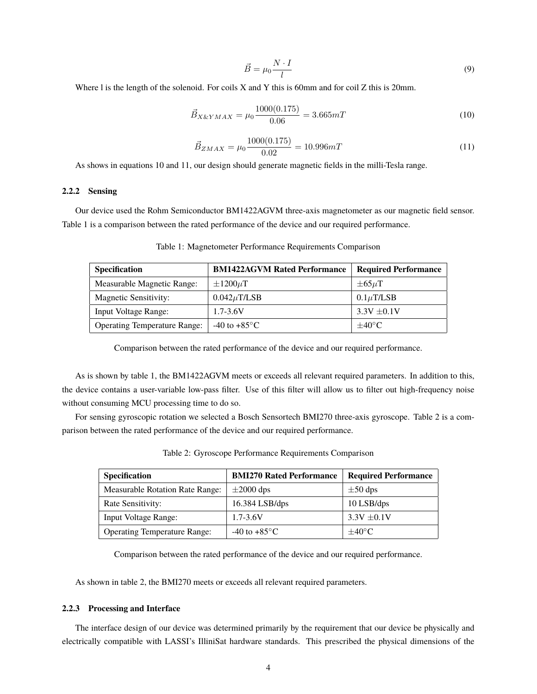$$
\vec{B} = \mu_0 \frac{N \cdot I}{l} \tag{9}
$$

<span id="page-5-2"></span>Where 1 is the length of the solenoid. For coils X and Y this is 60mm and for coil Z this is 20mm.

$$
\vec{B}_{X\&YMAX} = \mu_0 \frac{1000(0.175)}{0.06} = 3.665 mT \tag{10}
$$

$$
\vec{B}_{ZMAX} = \mu_0 \frac{1000(0.175)}{0.02} = 10.996 mT \tag{11}
$$

<span id="page-5-3"></span>As shows in equations [10](#page-5-2) and [11,](#page-5-3) our design should generate magnetic fields in the milli-Tesla range.

#### <span id="page-5-0"></span>**2.2.2 Sensing**

<span id="page-5-4"></span>Our device used the Rohm Semiconductor BM1422AGVM three-axis magnetometer as our magnetic field sensor. Table [1](#page-5-4) is a comparison between the rated performance of the device and our required performance.

| <b>Specification</b>                | <b>BM1422AGVM Rated Performance</b> | <b>Required Performance</b> |  |
|-------------------------------------|-------------------------------------|-----------------------------|--|
| Measurable Magnetic Range:          | $\pm 1200 \mu T$                    | $\pm 65 \mu T$              |  |
| <b>Magnetic Sensitivity:</b>        | $0.042 \mu$ T/LSB                   | $0.1 \mu$ T/LSB             |  |
| Input Voltage Range:                | $1.7 - 3.6V$                        | $3.3V \pm 0.1V$             |  |
| <b>Operating Temperature Range:</b> | $-40$ to $+85^{\circ}$ C            | $\pm 40^{\circ}$ C          |  |

Table 1: Magnetometer Performance Requirements Comparison

Comparison between the rated performance of the device and our required performance.

As is shown by table [1,](#page-5-4) the BM1422AGVM meets or exceeds all relevant required parameters. In addition to this, the device contains a user-variable low-pass filter. Use of this filter will allow us to filter out high-frequency noise without consuming MCU processing time to do so.

<span id="page-5-5"></span>For sensing gyroscopic rotation we selected a Bosch Sensortech BMI270 three-axis gyroscope. Table [2](#page-5-5) is a comparison between the rated performance of the device and our required performance.

| Specification                          | <b>BMI270 Rated Performance</b> | <b>Required Performance</b> |
|----------------------------------------|---------------------------------|-----------------------------|
| <b>Measurable Rotation Rate Range:</b> | $\pm 2000$ dps                  | $\pm 50$ dps                |
| Rate Sensitivity:                      | $16.384$ LSB/dps                | 10 LSB/dps                  |
| <b>Input Voltage Range:</b>            | $1.7 - 3.6V$                    | $3.3V \pm 0.1V$             |
| <b>Operating Temperature Range:</b>    | $-40$ to $+85^{\circ}$ C        | $\pm 40^{\circ}$ C          |

Table 2: Gyroscope Performance Requirements Comparison

Comparison between the rated performance of the device and our required performance.

As shown in table [2,](#page-5-5) the BMI270 meets or exceeds all relevant required parameters.

#### <span id="page-5-1"></span>**2.2.3 Processing and Interface**

The interface design of our device was determined primarily by the requirement that our device be physically and electrically compatible with LASSI's IlliniSat hardware standards. This prescribed the physical dimensions of the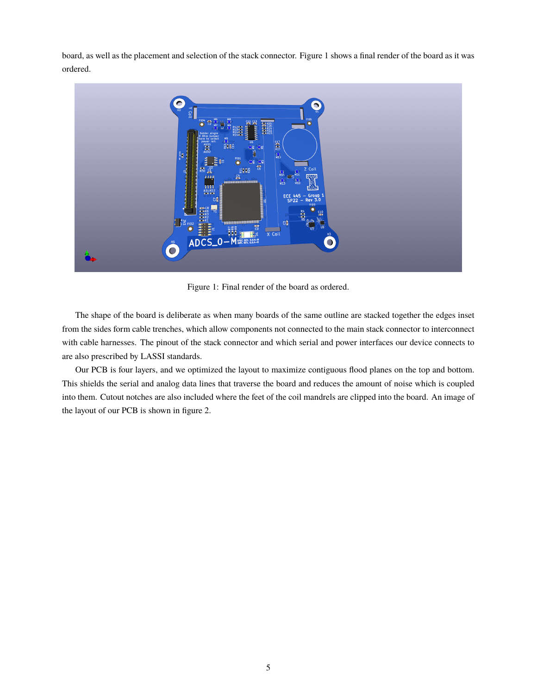board, as well as the placement and selection of the stack connector. Figure [1](#page-6-0) shows a final render of the board as it was ordered.

<span id="page-6-0"></span>

Figure 1: Final render of the board as ordered.

The shape of the board is deliberate as when many boards of the same outline are stacked together the edges inset from the sides form cable trenches, which allow components not connected to the main stack connector to interconnect with cable harnesses. The pinout of the stack connector and which serial and power interfaces our device connects to are also prescribed by LASSI standards.

Our PCB is four layers, and we optimized the layout to maximize contiguous flood planes on the top and bottom. This shields the serial and analog data lines that traverse the board and reduces the amount of noise which is coupled into them. Cutout notches are also included where the feet of the coil mandrels are clipped into the board. An image of the layout of our PCB is shown in figure [2.](#page-7-0)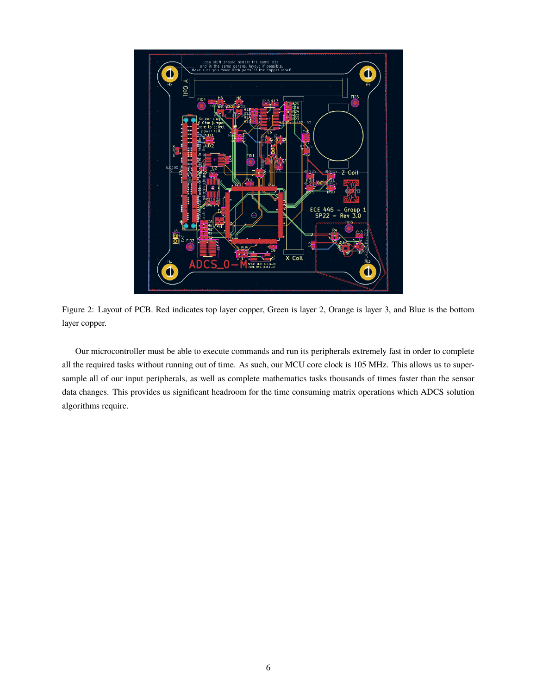<span id="page-7-0"></span>

Figure 2: Layout of PCB. Red indicates top layer copper, Green is layer 2, Orange is layer 3, and Blue is the bottom layer copper.

Our microcontroller must be able to execute commands and run its peripherals extremely fast in order to complete all the required tasks without running out of time. As such, our MCU core clock is 105 MHz. This allows us to supersample all of our input peripherals, as well as complete mathematics tasks thousands of times faster than the sensor data changes. This provides us significant headroom for the time consuming matrix operations which ADCS solution algorithms require.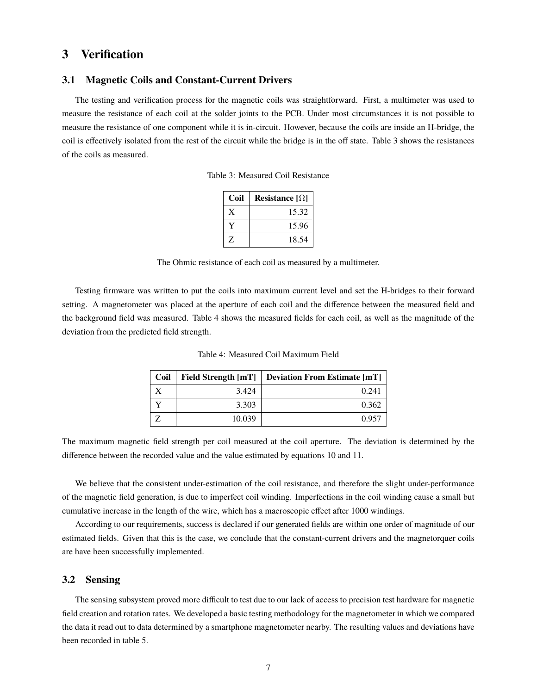### <span id="page-8-0"></span>**3 Verification**

### <span id="page-8-1"></span>**3.1 Magnetic Coils and Constant-Current Drivers**

<span id="page-8-3"></span>The testing and verification process for the magnetic coils was straightforward. First, a multimeter was used to measure the resistance of each coil at the solder joints to the PCB. Under most circumstances it is not possible to measure the resistance of one component while it is in-circuit. However, because the coils are inside an H-bridge, the coil is effectively isolated from the rest of the circuit while the bridge is in the off state. Table [3](#page-8-3) shows the resistances of the coils as measured.

Table 3: Measured Coil Resistance

| Coil | Resistance $\lceil \Omega \rceil$ |
|------|-----------------------------------|
| X    | 15.32                             |
|      | 15.96                             |
| Z    | 18.54                             |

The Ohmic resistance of each coil as measured by a multimeter.

<span id="page-8-4"></span>Testing firmware was written to put the coils into maximum current level and set the H-bridges to their forward setting. A magnetometer was placed at the aperture of each coil and the difference between the measured field and the background field was measured. Table [4](#page-8-4) shows the measured fields for each coil, as well as the magnitude of the deviation from the predicted field strength.

| Coil |        | Field Strength [mT] Deviation From Estimate [mT] |
|------|--------|--------------------------------------------------|
|      | 3.424  | 0.241                                            |
|      | 3.303  | 0.362                                            |
|      | 10.039 | 0.957                                            |

Table 4: Measured Coil Maximum Field

The maximum magnetic field strength per coil measured at the coil aperture. The deviation is determined by the difference between the recorded value and the value estimated by equations [10](#page-5-2) and [11.](#page-5-3)

We believe that the consistent under-estimation of the coil resistance, and therefore the slight under-performance of the magnetic field generation, is due to imperfect coil winding. Imperfections in the coil winding cause a small but cumulative increase in the length of the wire, which has a macroscopic effect after 1000 windings.

According to our requirements, success is declared if our generated fields are within one order of magnitude of our estimated fields. Given that this is the case, we conclude that the constant-current drivers and the magnetorquer coils are have been successfully implemented.

### <span id="page-8-2"></span>**3.2 Sensing**

The sensing subsystem proved more difficult to test due to our lack of access to precision test hardware for magnetic field creation and rotation rates. We developed a basic testing methodology for the magnetometer in which we compared the data it read out to data determined by a smartphone magnetometer nearby. The resulting values and deviations have been recorded in table [5.](#page-9-1)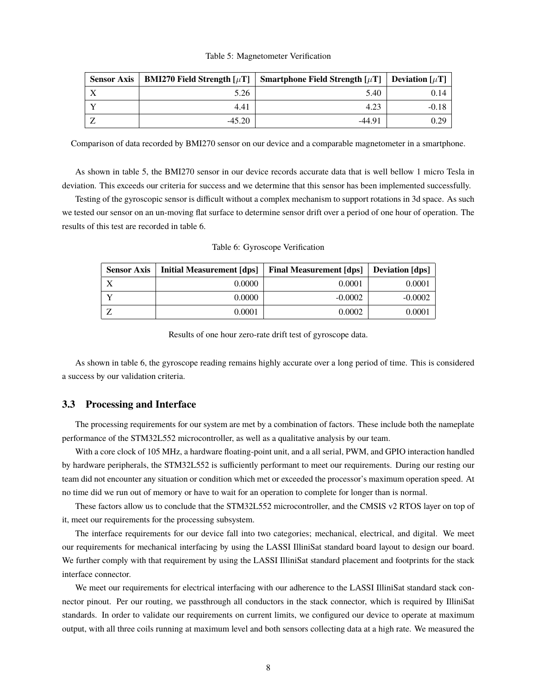#### Table 5: Magnetometer Verification

<span id="page-9-1"></span>

| <b>Sensor Axis</b> | <b>BMI270 Field Strength [<math>\mu</math>T]</b> | Smartphone Field Strength $[\mu]$ | <b>Deviation</b> $\lceil \mu \text{T} \rceil$ |
|--------------------|--------------------------------------------------|-----------------------------------|-----------------------------------------------|
| $\lambda$          | 5.26                                             | 5.40                              | 0.14                                          |
|                    | 4.41                                             | 4.23                              | $-0.18$                                       |
|                    | $-45.20$                                         | $-44.91$                          | 0.29                                          |

Comparison of data recorded by BMI270 sensor on our device and a comparable magnetometer in a smartphone.

As shown in table [5,](#page-9-1) the BMI270 sensor in our device records accurate data that is well bellow 1 micro Tesla in deviation. This exceeds our criteria for success and we determine that this sensor has been implemented successfully.

<span id="page-9-2"></span>Testing of the gyroscopic sensor is difficult without a complex mechanism to support rotations in 3d space. As such we tested our sensor on an un-moving flat surface to determine sensor drift over a period of one hour of operation. The results of this test are recorded in table [6.](#page-9-2)

| <b>Sensor Axis</b> | Initial Measurement [dps] | <b>Final Measurement [dps]</b> | <b>Deviation</b> [dps] |
|--------------------|---------------------------|--------------------------------|------------------------|
|                    | 0.0000                    | 0.0001                         | 0.0001                 |
|                    | 0.0000                    | $-0.0002$                      | $-0.0002$              |
|                    | 0.0001                    | 0.0002                         | 0.0001                 |

Table 6: Gyroscope Verification

Results of one hour zero-rate drift test of gyroscope data.

As shown in table [6,](#page-9-2) the gyroscope reading remains highly accurate over a long period of time. This is considered a success by our validation criteria.

### <span id="page-9-0"></span>**3.3 Processing and Interface**

The processing requirements for our system are met by a combination of factors. These include both the nameplate performance of the STM32L552 microcontroller, as well as a qualitative analysis by our team.

With a core clock of 105 MHz, a hardware floating-point unit, and a all serial, PWM, and GPIO interaction handled by hardware peripherals, the STM32L552 is sufficiently performant to meet our requirements. During our resting our team did not encounter any situation or condition which met or exceeded the processor's maximum operation speed. At no time did we run out of memory or have to wait for an operation to complete for longer than is normal.

These factors allow us to conclude that the STM32L552 microcontroller, and the CMSIS v2 RTOS layer on top of it, meet our requirements for the processing subsystem.

The interface requirements for our device fall into two categories; mechanical, electrical, and digital. We meet our requirements for mechanical interfacing by using the LASSI IlliniSat standard board layout to design our board. We further comply with that requirement by using the LASSI IlliniSat standard placement and footprints for the stack interface connector.

We meet our requirements for electrical interfacing with our adherence to the LASSI IlliniSat standard stack connector pinout. Per our routing, we passthrough all conductors in the stack connector, which is required by IlliniSat standards. In order to validate our requirements on current limits, we configured our device to operate at maximum output, with all three coils running at maximum level and both sensors collecting data at a high rate. We measured the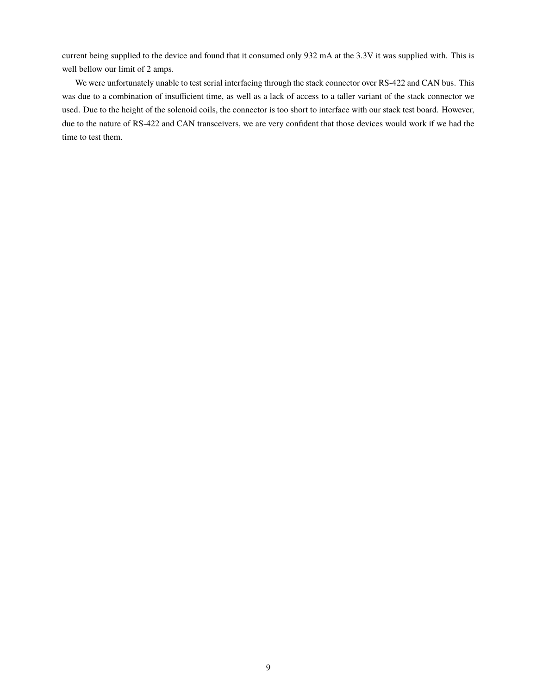current being supplied to the device and found that it consumed only 932 mA at the 3.3V it was supplied with. This is well bellow our limit of 2 amps.

We were unfortunately unable to test serial interfacing through the stack connector over RS-422 and CAN bus. This was due to a combination of insufficient time, as well as a lack of access to a taller variant of the stack connector we used. Due to the height of the solenoid coils, the connector is too short to interface with our stack test board. However, due to the nature of RS-422 and CAN transceivers, we are very confident that those devices would work if we had the time to test them.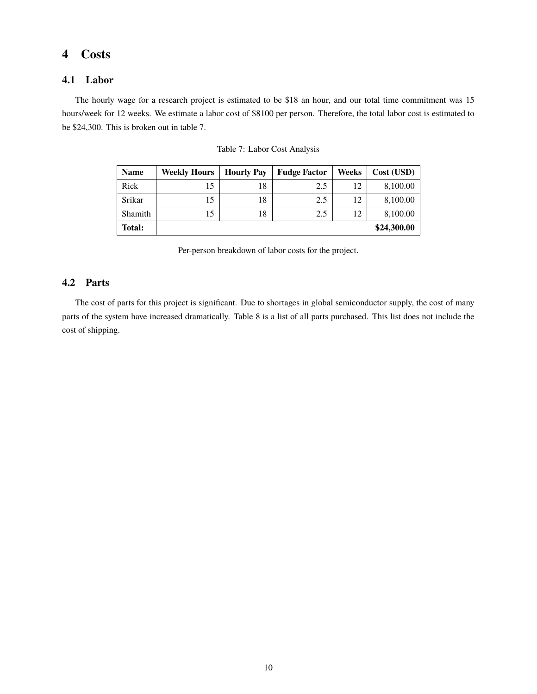### <span id="page-11-0"></span>**4 Costs**

### <span id="page-11-1"></span>**4.1 Labor**

<span id="page-11-3"></span>The hourly wage for a research project is estimated to be \$18 an hour, and our total time commitment was 15 hours/week for 12 weeks. We estimate a labor cost of \$8100 per person. Therefore, the total labor cost is estimated to be \$24,300. This is broken out in table [7.](#page-11-3)

| <b>Name</b> | <b>Weekly Hours</b> | <b>Hourly Pay</b> | <b>Fudge Factor</b> | Weeks | Cost (USD)  |
|-------------|---------------------|-------------------|---------------------|-------|-------------|
| Rick        | 15                  | 18                | 2.5                 | 12    | 8,100.00    |
| Srikar      | 15                  | 18                | 2.5                 | 12    | 8,100.00    |
| Shamith     | 15                  | 18                | 2.5                 | 12    | 8,100.00    |
| Total:      |                     |                   |                     |       | \$24,300.00 |

|  | Table 7: Labor Cost Analysis |  |  |
|--|------------------------------|--|--|
|  |                              |  |  |

Per-person breakdown of labor costs for the project.

### <span id="page-11-2"></span>**4.2 Parts**

The cost of parts for this project is significant. Due to shortages in global semiconductor supply, the cost of many parts of the system have increased dramatically. Table [8](#page-12-1) is a list of all parts purchased. This list does not include the cost of shipping.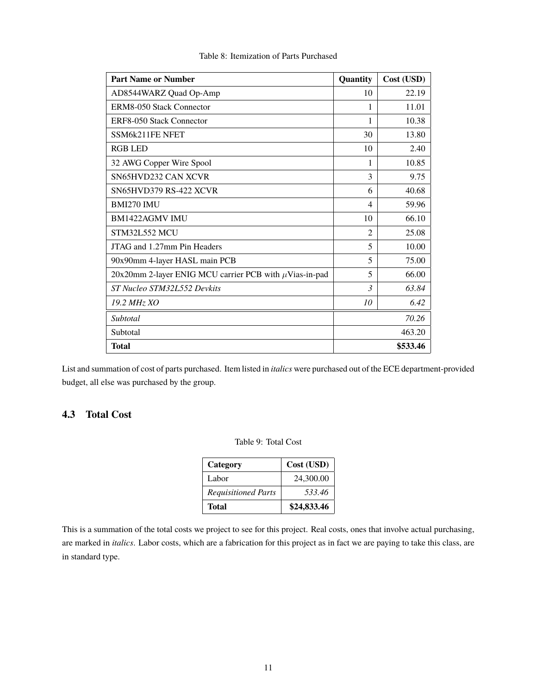<span id="page-12-1"></span>

| <b>Part Name or Number</b>                                  | Quantity       | Cost (USD) |
|-------------------------------------------------------------|----------------|------------|
| AD8544WARZ Quad Op-Amp                                      | 10             | 22.19      |
| ERM8-050 Stack Connector                                    | 1              | 11.01      |
| ERF8-050 Stack Connector                                    | 1              | 10.38      |
| SSM6k211FE NFET                                             | 30             | 13.80      |
| <b>RGB LED</b>                                              | 10             | 2.40       |
| 32 AWG Copper Wire Spool                                    | 1              | 10.85      |
| SN65HVD232 CAN XCVR                                         | 3              | 9.75       |
| <b>SN65HVD379 RS-422 XCVR</b>                               | 6              | 40.68      |
| <b>BMI270 IMU</b>                                           | 4              | 59.96      |
| <b>BM1422AGMV IMU</b>                                       | 10             | 66.10      |
| <b>STM32L552 MCU</b>                                        | $\mathfrak{D}$ | 25.08      |
| JTAG and 1.27mm Pin Headers                                 | 5              | 10.00      |
| 90x90mm 4-layer HASL main PCB                               | 5              | 75.00      |
| 20x20mm 2-layer ENIG MCU carrier PCB with $\mu$ Vias-in-pad | 5              | 66.00      |
| ST Nucleo STM32L552 Devkits                                 | $\mathcal{R}$  | 63.84      |
| 19.2 MHz XO                                                 | 10             | 6.42       |
| Subtotal                                                    |                | 70.26      |
| Subtotal                                                    |                | 463.20     |
| <b>Total</b>                                                |                | \$533.46   |

Table 8: Itemization of Parts Purchased

List and summation of cost of parts purchased. Item listed in *italics* were purchased out of the ECE department-provided budget, all else was purchased by the group.

### <span id="page-12-0"></span>**4.3 Total Cost**

| Table 9: Total Cost |  |  |
|---------------------|--|--|
|                     |  |  |

| Category                   | Cost (USD)  |
|----------------------------|-------------|
| Labor                      | 24,300.00   |
| <b>Requisitioned Parts</b> | 533.46      |
| Total                      | \$24,833.46 |

This is a summation of the total costs we project to see for this project. Real costs, ones that involve actual purchasing, are marked in *italics*. Labor costs, which are a fabrication for this project as in fact we are paying to take this class, are in standard type.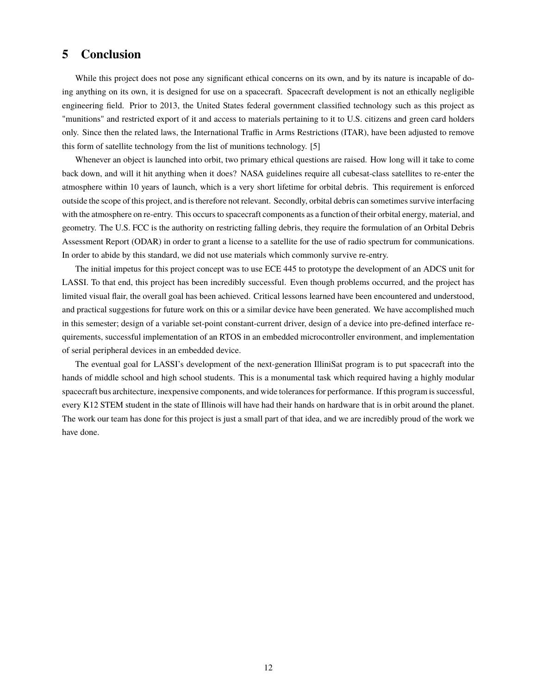### <span id="page-13-0"></span>**5 Conclusion**

While this project does not pose any significant ethical concerns on its own, and by its nature is incapable of doing anything on its own, it is designed for use on a spacecraft. Spacecraft development is not an ethically negligible engineering field. Prior to 2013, the United States federal government classified technology such as this project as "munitions" and restricted export of it and access to materials pertaining to it to U.S. citizens and green card holders only. Since then the related laws, the International Traffic in Arms Restrictions (ITAR), have been adjusted to remove this form of satellite technology from the list of munitions technology. [\[5\]](#page-14-4)

Whenever an object is launched into orbit, two primary ethical questions are raised. How long will it take to come back down, and will it hit anything when it does? NASA guidelines require all cubesat-class satellites to re-enter the atmosphere within 10 years of launch, which is a very short lifetime for orbital debris. This requirement is enforced outside the scope of this project, and is therefore not relevant. Secondly, orbital debris can sometimes survive interfacing with the atmosphere on re-entry. This occurs to spacecraft components as a function of their orbital energy, material, and geometry. The U.S. FCC is the authority on restricting falling debris, they require the formulation of an Orbital Debris Assessment Report (ODAR) in order to grant a license to a satellite for the use of radio spectrum for communications. In order to abide by this standard, we did not use materials which commonly survive re-entry.

The initial impetus for this project concept was to use ECE 445 to prototype the development of an ADCS unit for LASSI. To that end, this project has been incredibly successful. Even though problems occurred, and the project has limited visual flair, the overall goal has been achieved. Critical lessons learned have been encountered and understood, and practical suggestions for future work on this or a similar device have been generated. We have accomplished much in this semester; design of a variable set-point constant-current driver, design of a device into pre-defined interface requirements, successful implementation of an RTOS in an embedded microcontroller environment, and implementation of serial peripheral devices in an embedded device.

The eventual goal for LASSI's development of the next-generation IlliniSat program is to put spacecraft into the hands of middle school and high school students. This is a monumental task which required having a highly modular spacecraft bus architecture, inexpensive components, and wide tolerances for performance. If this program is successful, every K12 STEM student in the state of Illinois will have had their hands on hardware that is in orbit around the planet. The work our team has done for this project is just a small part of that idea, and we are incredibly proud of the work we have done.